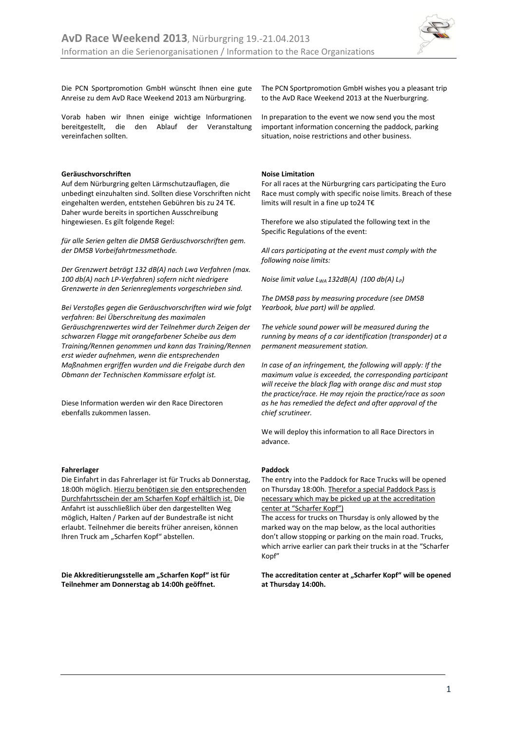

Die PCN Sportpromotion GmbH wünscht Ihnen eine gute Anreise zu dem AvD Race Weekend 2013 am Nürburgring.

Vorab haben wir Ihnen einige wichtige Informationen bereitgestellt, die den Ablauf der Veranstaltung vereinfachen sollten.

# **Geräuschvorschriften**

Auf dem Nürburgring gelten Lärmschutzauflagen, die unbedingt einzuhalten sind. Sollten diese Vorschriften nicht eingehalten werden, entstehen Gebühren bis zu 24 T€. Daher wurde bereits in sportichen Ausschreibung hingewiesen. Es gilt folgende Regel:

*für alle Serien gelten die DMSB Geräuschvorschriften gem. der DMSB Vorbeifahrtmessmethode.*

*Der Grenzwert beträgt 132 dB(A) nach Lwa Verfahren (max. 100 db(A) nach LP-Verfahren) sofern nicht niedrigere Grenzwerte in den Serienreglements vorgeschrieben sind.*

*Bei Verstoßes gegen die Geräuschvorschriften wird wie folgt verfahren: Bei Überschreitung des maximalen Geräuschgrenzwertes wird der Teilnehmer durch Zeigen der schwarzen Flagge mit orangefarbener Scheibe aus dem Training/Rennen genommen und kann das Training/Rennen erst wieder aufnehmen, wenn die entsprechenden Maßnahmen ergriffen wurden und die Freigabe durch den Obmann der Technischen Kommissare erfolgt ist.* 

Diese Information werden wir den Race Directoren ebenfalls zukommen lassen.

# **Fahrerlager**

Die Einfahrt in das Fahrerlager ist für Trucks ab Donnerstag, 18:00h möglich. Hierzu benötigen sie den entsprechenden Durchfahrtsschein der am Scharfen Kopf erhältlich ist. Die Anfahrt ist ausschließlich über den dargestellten Weg möglich, Halten / Parken auf der Bundestraße ist nicht erlaubt. Teilnehmer die bereits früher anreisen, können Ihren Truck am "Scharfen Kopf" abstellen.

Die Akkreditierungsstelle am "Scharfen Kopf" ist für **Teilnehmer am Donnerstag ab 14:00h geöffnet.**

The PCN Sportpromotion GmbH wishes you a pleasant trip to the AvD Race Weekend 2013 at the Nuerburgring.

In preparation to the event we now send you the most important information concerning the paddock, parking situation, noise restrictions and other business.

# **Noise Limitation**

For all races at the Nürburgring cars participating the Euro Race must comply with specific noise limits. Breach of these limits will result in a fine up to24 T€

Therefore we also stipulated the following text in the Specific Regulations of the event:

*All cars participating at the event must comply with the following noise limits:*

*Noise limit value LWA 132dB(A) (100 db(A) L<sup>P</sup> )*

*The DMSB pass by measuring procedure (see DMSB Yearbook, blue part) will be applied.*

*The vehicle sound power will be measured during the running by means of a car identification (transponder) at a permanent measurement station.* 

*In case of an infringement, the following will apply: If the maximum value is exceeded, the corresponding participant will receive the black flag with orange disc and must stop the practice/race. He may rejoin the practice/race as soon as he has remedied the defect and after approval of the chief scrutineer.*

We will deploy this information to all Race Directors in advance.

# **Paddock**

The entry into the Paddock for Race Trucks will be opened on Thursday 18:00h. Therefor a special Paddock Pass is necessary which may be picked up at the accreditation center at "Scharfer Kopf")

The access for trucks on Thursday is only allowed by the marked way on the map below, as the local authorities don't allow stopping or parking on the main road. Trucks, which arrive earlier can park their trucks in at the "Scharfer Kopf"

The accreditation center at "Scharfer Kopf" will be opened **at Thursday 14:00h.**